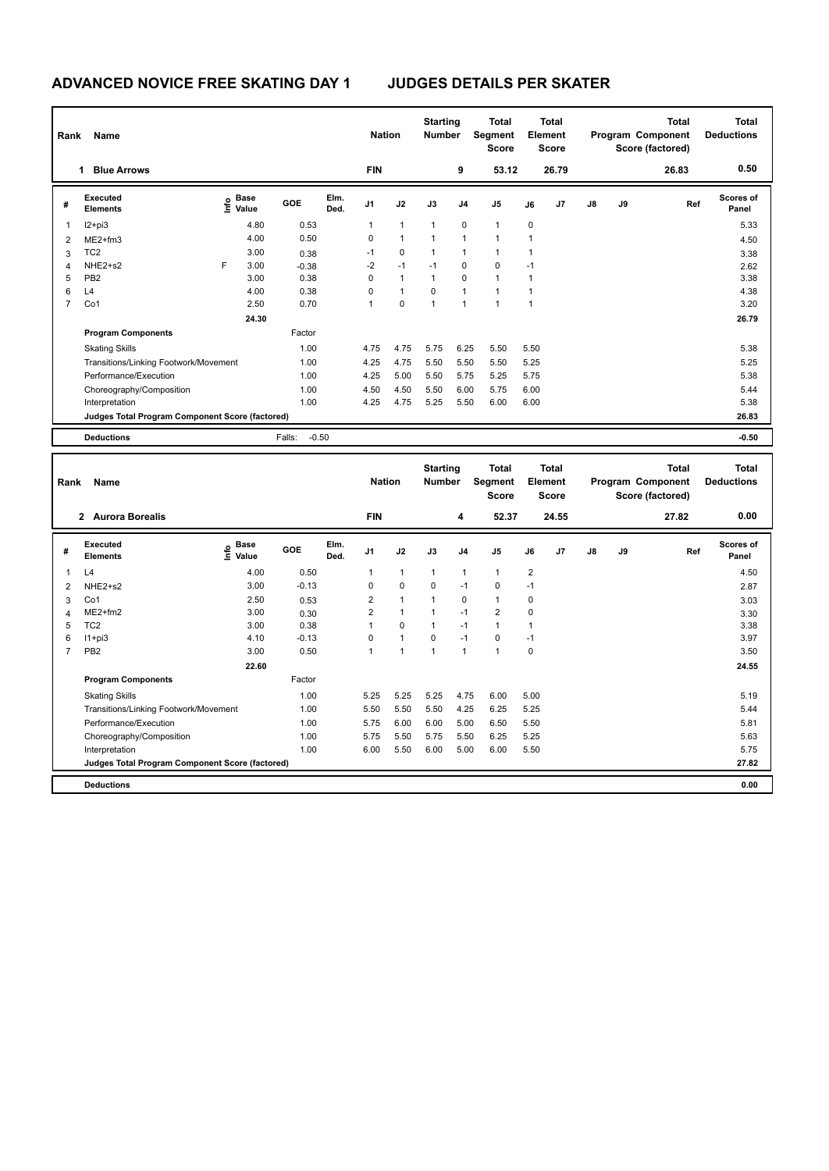| Rank           | Name                                            |   |                                             |                   |              | <b>Nation</b>  |              | <b>Starting</b><br><b>Number</b> |                | <b>Total</b><br>Segment<br><b>Score</b> |             | Total<br>Element<br><b>Score</b> |    |    | <b>Total</b><br>Program Component<br>Score (factored) | <b>Total</b><br><b>Deductions</b> |
|----------------|-------------------------------------------------|---|---------------------------------------------|-------------------|--------------|----------------|--------------|----------------------------------|----------------|-----------------------------------------|-------------|----------------------------------|----|----|-------------------------------------------------------|-----------------------------------|
|                | <b>Blue Arrows</b><br>1                         |   |                                             |                   |              | <b>FIN</b>     |              |                                  | 9              | 53.12                                   |             | 26.79                            |    |    | 26.83                                                 | 0.50                              |
| #              | Executed<br><b>Elements</b>                     |   | <b>Base</b><br>e <sup>Base</sup><br>⊆ Value | GOE               | Elm.<br>Ded. | J <sub>1</sub> | J2           | J3                               | J <sub>4</sub> | J <sub>5</sub>                          | J6          | J7                               | J8 | J9 | Ref                                                   | <b>Scores of</b><br>Panel         |
| 1              | $12+pi3$                                        |   | 4.80                                        | 0.53              |              | 1              | $\mathbf{1}$ | $\mathbf{1}$                     | $\mathbf 0$    | $\mathbf{1}$                            | $\mathbf 0$ |                                  |    |    |                                                       | 5.33                              |
| $\overline{2}$ | ME2+fm3                                         |   | 4.00                                        | 0.50              |              | 0              | $\mathbf{1}$ | 1                                | 1              | $\overline{1}$                          |             |                                  |    |    |                                                       | 4.50                              |
| 3              | TC <sub>2</sub>                                 |   | 3.00                                        | 0.38              |              | $-1$           | $\mathbf 0$  | $\mathbf{1}$                     | $\mathbf{1}$   | $\mathbf{1}$                            |             |                                  |    |    |                                                       | 3.38                              |
| $\overline{4}$ | NHE2+s2                                         | F | 3.00                                        | $-0.38$           |              | $-2$           | $-1$         | $-1$                             | $\mathbf 0$    | $\mathbf 0$                             | $-1$        |                                  |    |    |                                                       | 2.62                              |
| 5              | PB <sub>2</sub>                                 |   | 3.00                                        | 0.38              |              | 0              | $\mathbf{1}$ | $\mathbf{1}$                     | 0              | $\overline{1}$                          |             |                                  |    |    |                                                       | 3.38                              |
| 6              | L4                                              |   | 4.00                                        | 0.38              |              | 0              | $\mathbf{1}$ | $\Omega$                         | $\overline{1}$ | 1                                       |             |                                  |    |    |                                                       | 4.38                              |
| $\overline{7}$ | Co1                                             |   | 2.50                                        | 0.70              |              | 1              | $\mathbf 0$  | 1                                | $\mathbf{1}$   | $\overline{1}$                          | 1           |                                  |    |    |                                                       | 3.20                              |
|                |                                                 |   | 24.30                                       |                   |              |                |              |                                  |                |                                         |             |                                  |    |    |                                                       | 26.79                             |
|                | <b>Program Components</b>                       |   |                                             | Factor            |              |                |              |                                  |                |                                         |             |                                  |    |    |                                                       |                                   |
|                | <b>Skating Skills</b>                           |   |                                             | 1.00              |              | 4.75           | 4.75         | 5.75                             | 6.25           | 5.50                                    | 5.50        |                                  |    |    |                                                       | 5.38                              |
|                | Transitions/Linking Footwork/Movement           |   |                                             | 1.00              |              | 4.25           | 4.75         | 5.50                             | 5.50           | 5.50                                    | 5.25        |                                  |    |    |                                                       | 5.25                              |
|                | Performance/Execution                           |   |                                             | 1.00              |              | 4.25           | 5.00         | 5.50                             | 5.75           | 5.25                                    | 5.75        |                                  |    |    |                                                       | 5.38                              |
|                | Choreography/Composition                        |   |                                             | 1.00              |              | 4.50           | 4.50         | 5.50                             | 6.00           | 5.75                                    | 6.00        |                                  |    |    |                                                       | 5.44                              |
|                | Interpretation                                  |   |                                             | 1.00              |              | 4.25           | 4.75         | 5.25                             | 5.50           | 6.00                                    | 6.00        |                                  |    |    |                                                       | 5.38                              |
|                | Judges Total Program Component Score (factored) |   |                                             |                   |              |                |              |                                  |                |                                         |             |                                  |    |    |                                                       | 26.83                             |
|                | <b>Deductions</b>                               |   |                                             | $-0.50$<br>Falls: |              |                |              |                                  |                |                                         |             |                                  |    |    |                                                       | $-0.50$                           |

| Rank           | <b>Name</b>                                     |                                  |         |              | <b>Nation</b>  |              | <b>Starting</b><br><b>Number</b> |                | <b>Total</b><br>Segment<br><b>Score</b> |                | <b>Total</b><br>Element<br><b>Score</b> |               |    | <b>Total</b><br>Program Component<br>Score (factored) | <b>Total</b><br><b>Deductions</b> |
|----------------|-------------------------------------------------|----------------------------------|---------|--------------|----------------|--------------|----------------------------------|----------------|-----------------------------------------|----------------|-----------------------------------------|---------------|----|-------------------------------------------------------|-----------------------------------|
|                | <b>Aurora Borealis</b><br>$\overline{2}$        |                                  |         |              | <b>FIN</b>     |              |                                  | 4              | 52.37                                   |                | 24.55                                   |               |    | 27.82                                                 | 0.00                              |
| #              | Executed<br><b>Elements</b>                     | <b>Base</b><br>e Base<br>⊆ Value | GOE     | Elm.<br>Ded. | J <sub>1</sub> | J2           | J3                               | J <sub>4</sub> | J <sub>5</sub>                          | J6             | J7                                      | $\mathsf{J}8$ | J9 | Ref                                                   | <b>Scores of</b><br>Panel         |
| 1              | L4                                              | 4.00                             | 0.50    |              | $\mathbf{1}$   | $\mathbf{1}$ | $\mathbf{1}$                     | $\mathbf{1}$   | $\mathbf{1}$                            | $\overline{2}$ |                                         |               |    |                                                       | 4.50                              |
| 2              | NHE2+s2                                         | 3.00                             | $-0.13$ |              | 0              | $\mathbf 0$  | 0                                | $-1$           | 0                                       | $-1$           |                                         |               |    |                                                       | 2.87                              |
| 3              | Co1                                             | 2.50                             | 0.53    |              | $\overline{2}$ | $\mathbf{1}$ |                                  | 0              | $\mathbf{1}$                            | 0              |                                         |               |    |                                                       | 3.03                              |
| 4              | $ME2+fm2$                                       | 3.00                             | 0.30    |              | $\overline{2}$ | $\mathbf{1}$ |                                  | $-1$           | $\overline{2}$                          | 0              |                                         |               |    |                                                       | 3.30                              |
| 5              | TC <sub>2</sub>                                 | 3.00                             | 0.38    |              |                | $\mathbf 0$  | 1                                | $-1$           | $\mathbf{1}$                            | 1              |                                         |               |    |                                                       | 3.38                              |
| 6              | $11+pi3$                                        | 4.10                             | $-0.13$ |              | 0              | $\mathbf{1}$ | 0                                | $-1$           | 0                                       | $-1$           |                                         |               |    |                                                       | 3.97                              |
| $\overline{7}$ | PB <sub>2</sub>                                 | 3.00                             | 0.50    |              | 1              | 1            | 1                                | $\mathbf{1}$   | $\mathbf{1}$                            | 0              |                                         |               |    |                                                       | 3.50                              |
|                |                                                 | 22.60                            |         |              |                |              |                                  |                |                                         |                |                                         |               |    |                                                       | 24.55                             |
|                | <b>Program Components</b>                       |                                  | Factor  |              |                |              |                                  |                |                                         |                |                                         |               |    |                                                       |                                   |
|                | <b>Skating Skills</b>                           |                                  | 1.00    |              | 5.25           | 5.25         | 5.25                             | 4.75           | 6.00                                    | 5.00           |                                         |               |    |                                                       | 5.19                              |
|                | Transitions/Linking Footwork/Movement           |                                  | 1.00    |              | 5.50           | 5.50         | 5.50                             | 4.25           | 6.25                                    | 5.25           |                                         |               |    |                                                       | 5.44                              |
|                | Performance/Execution                           |                                  | 1.00    |              | 5.75           | 6.00         | 6.00                             | 5.00           | 6.50                                    | 5.50           |                                         |               |    |                                                       | 5.81                              |
|                | Choreography/Composition                        |                                  | 1.00    |              | 5.75           | 5.50         | 5.75                             | 5.50           | 6.25                                    | 5.25           |                                         |               |    |                                                       | 5.63                              |
|                | Interpretation                                  |                                  | 1.00    |              | 6.00           | 5.50         | 6.00                             | 5.00           | 6.00                                    | 5.50           |                                         |               |    |                                                       | 5.75                              |
|                | Judges Total Program Component Score (factored) |                                  |         |              |                |              |                                  |                |                                         |                |                                         |               |    |                                                       | 27.82                             |
|                | <b>Deductions</b>                               |                                  |         |              |                |              |                                  |                |                                         |                |                                         |               |    |                                                       | 0.00                              |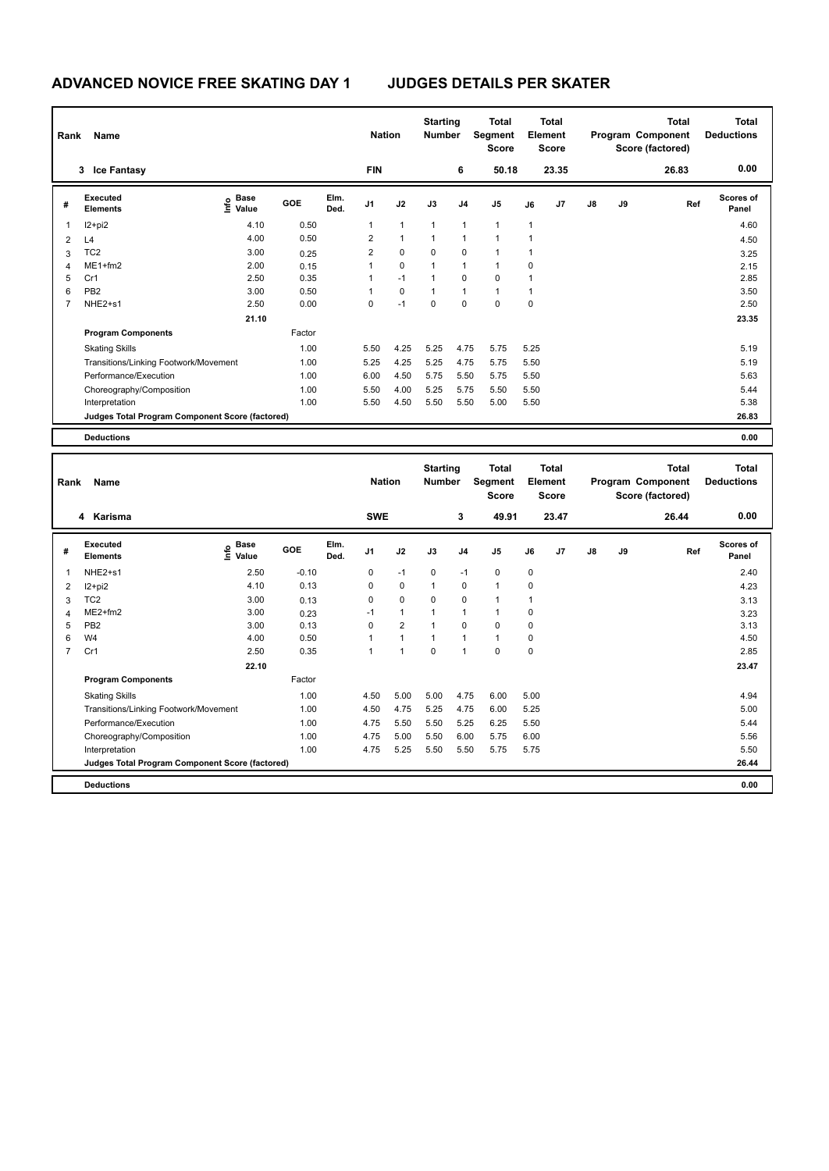| Rank | <b>Name</b>                                     |                                  |        |              | <b>Nation</b>  |                | <b>Starting</b><br><b>Number</b> |                | Total<br>Segment<br><b>Score</b> |      | Total<br>Element<br><b>Score</b> |               |    | Total<br>Program Component<br>Score (factored) | <b>Total</b><br><b>Deductions</b> |
|------|-------------------------------------------------|----------------------------------|--------|--------------|----------------|----------------|----------------------------------|----------------|----------------------------------|------|----------------------------------|---------------|----|------------------------------------------------|-----------------------------------|
|      | <b>Ice Fantasy</b><br>$3^{\circ}$               |                                  |        |              | <b>FIN</b>     |                |                                  | 6              | 50.18                            |      | 23.35                            |               |    | 26.83                                          | 0.00                              |
| #    | Executed<br><b>Elements</b>                     | <b>Base</b><br>e Base<br>⊆ Value | GOE    | Elm.<br>Ded. | J <sub>1</sub> | J2             | J3                               | J <sub>4</sub> | J <sub>5</sub>                   | J6   | J7                               | $\mathsf{J}8$ | J9 | Ref                                            | <b>Scores of</b><br>Panel         |
|      | $12+pi2$                                        | 4.10                             | 0.50   |              | 1              | $\mathbf{1}$   | 1                                | $\overline{1}$ | $\mathbf{1}$                     | 1    |                                  |               |    |                                                | 4.60                              |
| 2    | L4                                              | 4.00                             | 0.50   |              | $\overline{2}$ | $\overline{1}$ | $\overline{1}$                   | $\overline{1}$ | 1                                | 1    |                                  |               |    |                                                | 4.50                              |
| 3    | TC <sub>2</sub>                                 | 3.00                             | 0.25   |              | $\overline{2}$ | $\mathbf 0$    | 0                                | 0              |                                  | 1    |                                  |               |    |                                                | 3.25                              |
| 4    | $ME1 + fm2$                                     | 2.00                             | 0.15   |              |                | $\mathbf 0$    | $\overline{1}$                   | $\overline{1}$ | $\overline{1}$                   | 0    |                                  |               |    |                                                | 2.15                              |
| 5    | Cr1                                             | 2.50                             | 0.35   |              |                | $-1$           | 1                                | $\pmb{0}$      | $\pmb{0}$                        | 1    |                                  |               |    |                                                | 2.85                              |
| 6    | PB <sub>2</sub>                                 | 3.00                             | 0.50   |              | 1              | $\mathbf 0$    | 1                                | $\overline{1}$ | $\mathbf{1}$                     | 1    |                                  |               |    |                                                | 3.50                              |
| 7    | NHE2+s1                                         | 2.50                             | 0.00   |              | 0              | $-1$           | 0                                | 0              | $\pmb{0}$                        | 0    |                                  |               |    |                                                | 2.50                              |
|      |                                                 | 21.10                            |        |              |                |                |                                  |                |                                  |      |                                  |               |    |                                                | 23.35                             |
|      | <b>Program Components</b>                       |                                  | Factor |              |                |                |                                  |                |                                  |      |                                  |               |    |                                                |                                   |
|      | <b>Skating Skills</b>                           |                                  | 1.00   |              | 5.50           | 4.25           | 5.25                             | 4.75           | 5.75                             | 5.25 |                                  |               |    |                                                | 5.19                              |
|      | Transitions/Linking Footwork/Movement           |                                  | 1.00   |              | 5.25           | 4.25           | 5.25                             | 4.75           | 5.75                             | 5.50 |                                  |               |    |                                                | 5.19                              |
|      | Performance/Execution                           |                                  | 1.00   |              | 6.00           | 4.50           | 5.75                             | 5.50           | 5.75                             | 5.50 |                                  |               |    |                                                | 5.63                              |
|      | Choreography/Composition                        |                                  | 1.00   |              | 5.50           | 4.00           | 5.25                             | 5.75           | 5.50                             | 5.50 |                                  |               |    |                                                | 5.44                              |
|      | Interpretation                                  |                                  | 1.00   |              | 5.50           | 4.50           | 5.50                             | 5.50           | 5.00                             | 5.50 |                                  |               |    |                                                | 5.38                              |
|      | Judges Total Program Component Score (factored) |                                  |        |              |                |                |                                  |                |                                  |      |                                  |               |    |                                                | 26.83                             |
|      | <b>Deductions</b>                               |                                  |        |              |                |                |                                  |                |                                  |      |                                  |               |    |                                                | 0.00                              |

| Rank           | Name                                            |                                  |         |              | <b>Nation</b>  |                | <b>Starting</b><br><b>Number</b> |                | <b>Total</b><br>Segment<br><b>Score</b> |             | <b>Total</b><br>Element<br><b>Score</b> |    |    | <b>Total</b><br>Program Component<br>Score (factored) | <b>Total</b><br><b>Deductions</b> |
|----------------|-------------------------------------------------|----------------------------------|---------|--------------|----------------|----------------|----------------------------------|----------------|-----------------------------------------|-------------|-----------------------------------------|----|----|-------------------------------------------------------|-----------------------------------|
|                | 4 Karisma                                       |                                  |         |              | <b>SWE</b>     |                |                                  | 3              | 49.91                                   |             | 23.47                                   |    |    | 26.44                                                 | 0.00                              |
| #              | Executed<br><b>Elements</b>                     | <b>Base</b><br>e Base<br>⊆ Value | GOE     | Elm.<br>Ded. | J <sub>1</sub> | J2             | J3                               | J <sub>4</sub> | J <sub>5</sub>                          | J6          | J7                                      | J8 | J9 | Ref                                                   | <b>Scores of</b><br>Panel         |
| 1              | NHE <sub>2+s1</sub>                             | 2.50                             | $-0.10$ |              | 0              | $-1$           | $\mathbf 0$                      | $-1$           | $\mathbf 0$                             | $\mathbf 0$ |                                         |    |    |                                                       | 2.40                              |
| 2              | $12+pi2$                                        | 4.10                             | 0.13    |              | 0              | $\mathbf 0$    | $\overline{1}$                   | $\mathbf 0$    | $\mathbf{1}$                            | 0           |                                         |    |    |                                                       | 4.23                              |
| 3              | TC <sub>2</sub>                                 | 3.00                             | 0.13    |              | 0              | $\mathbf 0$    | 0                                | 0              | $\mathbf{1}$                            | 1           |                                         |    |    |                                                       | 3.13                              |
| $\overline{4}$ | $ME2+fm2$                                       | 3.00                             | 0.23    |              | $-1$           | $\mathbf{1}$   | $\overline{1}$                   | $\overline{1}$ | $\mathbf{1}$                            | 0           |                                         |    |    |                                                       | 3.23                              |
| 5              | PB <sub>2</sub>                                 | 3.00                             | 0.13    |              | $\Omega$       | $\overline{2}$ | $\overline{1}$                   | $\mathbf 0$    | $\mathbf 0$                             | 0           |                                         |    |    |                                                       | 3.13                              |
| 6              | W <sub>4</sub>                                  | 4.00                             | 0.50    |              |                | 1              |                                  | $\overline{1}$ | $\mathbf{1}$                            | 0           |                                         |    |    |                                                       | 4.50                              |
| $\overline{7}$ | Cr1                                             | 2.50                             | 0.35    |              |                | $\overline{1}$ | $\mathbf 0$                      | $\overline{1}$ | $\mathbf 0$                             | 0           |                                         |    |    |                                                       | 2.85                              |
|                |                                                 | 22.10                            |         |              |                |                |                                  |                |                                         |             |                                         |    |    |                                                       | 23.47                             |
|                | <b>Program Components</b>                       |                                  | Factor  |              |                |                |                                  |                |                                         |             |                                         |    |    |                                                       |                                   |
|                | <b>Skating Skills</b>                           |                                  | 1.00    |              | 4.50           | 5.00           | 5.00                             | 4.75           | 6.00                                    | 5.00        |                                         |    |    |                                                       | 4.94                              |
|                | Transitions/Linking Footwork/Movement           |                                  | 1.00    |              | 4.50           | 4.75           | 5.25                             | 4.75           | 6.00                                    | 5.25        |                                         |    |    |                                                       | 5.00                              |
|                | Performance/Execution                           |                                  | 1.00    |              | 4.75           | 5.50           | 5.50                             | 5.25           | 6.25                                    | 5.50        |                                         |    |    |                                                       | 5.44                              |
|                | Choreography/Composition                        |                                  | 1.00    |              | 4.75           | 5.00           | 5.50                             | 6.00           | 5.75                                    | 6.00        |                                         |    |    |                                                       | 5.56                              |
|                | Interpretation                                  |                                  | 1.00    |              | 4.75           | 5.25           | 5.50                             | 5.50           | 5.75                                    | 5.75        |                                         |    |    |                                                       | 5.50                              |
|                | Judges Total Program Component Score (factored) |                                  |         |              |                |                |                                  |                |                                         |             |                                         |    |    |                                                       | 26.44                             |
|                | <b>Deductions</b>                               |                                  |         |              |                |                |                                  |                |                                         |             |                                         |    |    |                                                       | 0.00                              |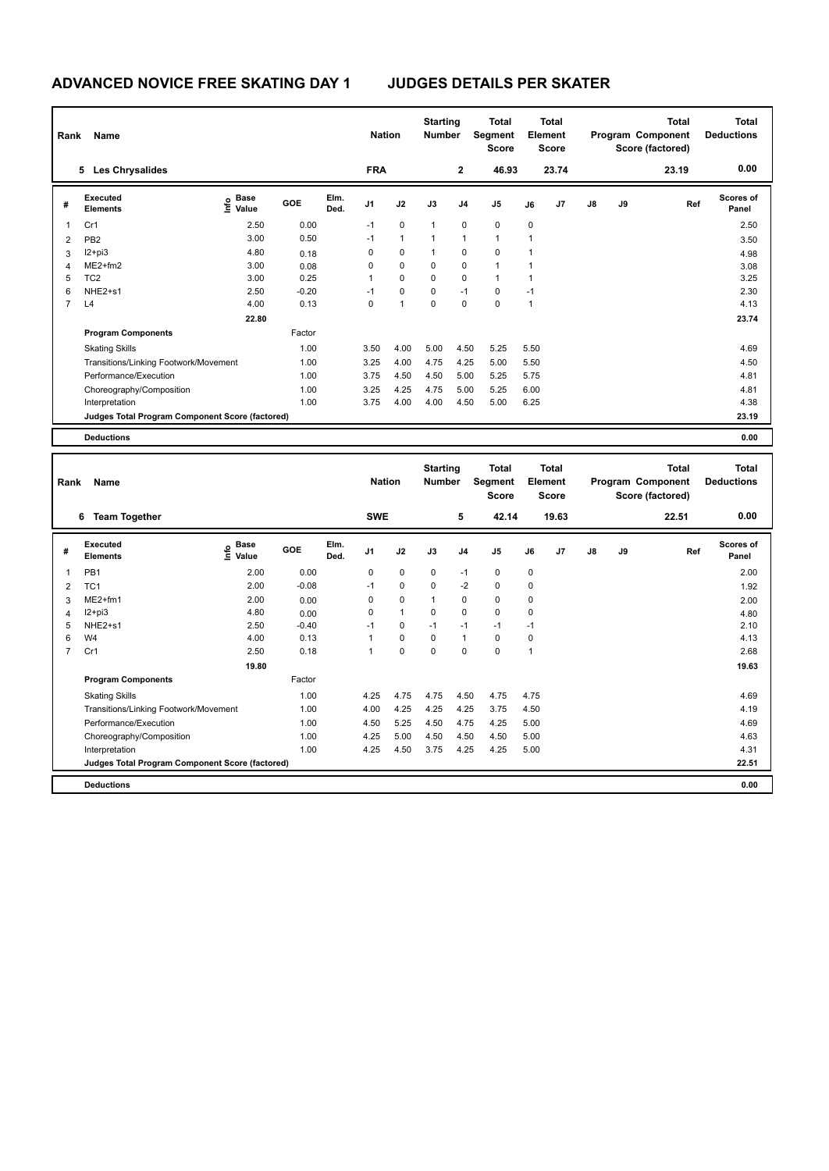|                | <b>Name</b><br>Rank                             |                              |         |              | <b>Nation</b>  |                | <b>Starting</b><br><b>Number</b> |                | <b>Total</b><br>Segment<br><b>Score</b> |              | <b>Total</b><br>Element<br><b>Score</b> |               |    | <b>Total</b><br>Program Component<br>Score (factored) | <b>Total</b><br><b>Deductions</b> |
|----------------|-------------------------------------------------|------------------------------|---------|--------------|----------------|----------------|----------------------------------|----------------|-----------------------------------------|--------------|-----------------------------------------|---------------|----|-------------------------------------------------------|-----------------------------------|
|                | <b>Les Chrysalides</b><br>5                     |                              |         |              | <b>FRA</b>     |                |                                  | 2              | 46.93                                   |              | 23.74                                   |               |    | 23.19                                                 | 0.00                              |
| #              | Executed<br><b>Elements</b>                     | <b>Base</b><br>lnfo<br>Value | GOE     | Elm.<br>Ded. | J <sub>1</sub> | J2             | J3                               | J <sub>4</sub> | J <sub>5</sub>                          | J6           | J <sub>7</sub>                          | $\mathsf{J}8$ | J9 | Ref                                                   | <b>Scores of</b><br>Panel         |
| 1              | Cr1                                             | 2.50                         | 0.00    |              | $-1$           | $\mathbf 0$    | 1                                | $\mathbf 0$    | $\pmb{0}$                               | $\mathbf 0$  |                                         |               |    |                                                       | 2.50                              |
| 2              | PB <sub>2</sub>                                 | 3.00                         | 0.50    |              | $-1$           | $\mathbf{1}$   | 1                                | $\overline{1}$ | 1                                       | $\mathbf{1}$ |                                         |               |    |                                                       | 3.50                              |
| 3              | $12+pi3$                                        | 4.80                         | 0.18    |              | 0              | $\mathbf 0$    | 1                                | $\mathbf 0$    | $\mathbf 0$                             | 1            |                                         |               |    |                                                       | 4.98                              |
| 4              | $ME2+fm2$                                       | 3.00                         | 0.08    |              | 0              | $\mathbf 0$    | 0                                | $\mathbf 0$    | $\mathbf{1}$                            | 1            |                                         |               |    |                                                       | 3.08                              |
| 5              | TC <sub>2</sub>                                 | 3.00                         | 0.25    |              | 1              | $\mathbf 0$    | $\mathbf 0$                      | $\pmb{0}$      | $\mathbf{1}$                            | 1            |                                         |               |    |                                                       | 3.25                              |
| 6              | NHE2+s1                                         | 2.50                         | $-0.20$ |              | $-1$           | 0              | 0                                | $-1$           | 0                                       | $-1$         |                                         |               |    |                                                       | 2.30                              |
| $\overline{7}$ | L4                                              | 4.00                         | 0.13    |              | 0              | $\overline{1}$ | 0                                | 0              | $\pmb{0}$                               | 1            |                                         |               |    |                                                       | 4.13                              |
|                |                                                 | 22.80                        |         |              |                |                |                                  |                |                                         |              |                                         |               |    |                                                       | 23.74                             |
|                | <b>Program Components</b>                       |                              | Factor  |              |                |                |                                  |                |                                         |              |                                         |               |    |                                                       |                                   |
|                | <b>Skating Skills</b>                           |                              | 1.00    |              | 3.50           | 4.00           | 5.00                             | 4.50           | 5.25                                    | 5.50         |                                         |               |    |                                                       | 4.69                              |
|                | Transitions/Linking Footwork/Movement           |                              | 1.00    |              | 3.25           | 4.00           | 4.75                             | 4.25           | 5.00                                    | 5.50         |                                         |               |    |                                                       | 4.50                              |
|                | Performance/Execution                           |                              | 1.00    |              | 3.75           | 4.50           | 4.50                             | 5.00           | 5.25                                    | 5.75         |                                         |               |    |                                                       | 4.81                              |
|                | Choreography/Composition                        |                              | 1.00    |              | 3.25           | 4.25           | 4.75                             | 5.00           | 5.25                                    | 6.00         |                                         |               |    |                                                       | 4.81                              |
|                | Interpretation                                  |                              | 1.00    |              | 3.75           | 4.00           | 4.00                             | 4.50           | 5.00                                    | 6.25         |                                         |               |    |                                                       | 4.38                              |
|                | Judges Total Program Component Score (factored) |                              |         |              |                |                |                                  |                |                                         |              |                                         |               |    |                                                       | 23.19                             |
|                | <b>Deductions</b>                               |                              |         |              |                |                |                                  |                |                                         |              |                                         |               |    |                                                       | 0.00                              |

| Rank           | Name                                            |                            |         |              | <b>Nation</b>  |              | <b>Starting</b><br><b>Number</b> |                | Total<br>Segment<br><b>Score</b> |              | Total<br>Element<br><b>Score</b> |               |    | Total<br>Program Component<br>Score (factored) | <b>Total</b><br><b>Deductions</b> |
|----------------|-------------------------------------------------|----------------------------|---------|--------------|----------------|--------------|----------------------------------|----------------|----------------------------------|--------------|----------------------------------|---------------|----|------------------------------------------------|-----------------------------------|
|                | <b>Team Together</b><br>6                       |                            |         |              | <b>SWE</b>     |              |                                  | 5              | 42.14                            |              | 19.63                            |               |    | 22.51                                          | 0.00                              |
| #              | Executed<br><b>Elements</b>                     | e Base<br>E Value<br>Value | GOE     | Elm.<br>Ded. | J <sub>1</sub> | J2           | J3                               | J <sub>4</sub> | J <sub>5</sub>                   | J6           | J <sub>7</sub>                   | $\mathsf{J}8$ | J9 | Ref                                            | <b>Scores of</b><br>Panel         |
| 1              | PB <sub>1</sub>                                 | 2.00                       | 0.00    |              | 0              | $\mathbf 0$  | 0                                | $-1$           | 0                                | 0            |                                  |               |    |                                                | 2.00                              |
| 2              | TC <sub>1</sub>                                 | 2.00                       | $-0.08$ |              | $-1$           | $\Omega$     | $\Omega$                         | $-2$           | $\Omega$                         | 0            |                                  |               |    |                                                | 1.92                              |
| 3              | $ME2+fm1$                                       | 2.00                       | 0.00    |              | 0              | $\mathbf 0$  | $\mathbf{1}$                     | 0              | 0                                | 0            |                                  |               |    |                                                | 2.00                              |
| 4              | $I2 + pi3$                                      | 4.80                       | 0.00    |              | $\Omega$       | $\mathbf{1}$ | $\Omega$                         | $\mathbf 0$    | $\Omega$                         | 0            |                                  |               |    |                                                | 4.80                              |
| 5              | NHE <sub>2+s1</sub>                             | 2.50                       | $-0.40$ |              | $-1$           | 0            | $-1$                             | $-1$           | $-1$                             | $-1$         |                                  |               |    |                                                | 2.10                              |
| 6              | W <sub>4</sub>                                  | 4.00                       | 0.13    |              |                | $\mathbf 0$  | $\Omega$                         | $\mathbf{1}$   | 0                                | 0            |                                  |               |    |                                                | 4.13                              |
| $\overline{7}$ | Cr1                                             | 2.50                       | 0.18    |              | 1              | $\mathbf 0$  | $\Omega$                         | $\Omega$       | $\Omega$                         | $\mathbf{1}$ |                                  |               |    |                                                | 2.68                              |
|                |                                                 | 19.80                      |         |              |                |              |                                  |                |                                  |              |                                  |               |    |                                                | 19.63                             |
|                | <b>Program Components</b>                       |                            | Factor  |              |                |              |                                  |                |                                  |              |                                  |               |    |                                                |                                   |
|                | <b>Skating Skills</b>                           |                            | 1.00    |              | 4.25           | 4.75         | 4.75                             | 4.50           | 4.75                             | 4.75         |                                  |               |    |                                                | 4.69                              |
|                | Transitions/Linking Footwork/Movement           |                            | 1.00    |              | 4.00           | 4.25         | 4.25                             | 4.25           | 3.75                             | 4.50         |                                  |               |    |                                                | 4.19                              |
|                | Performance/Execution                           |                            | 1.00    |              | 4.50           | 5.25         | 4.50                             | 4.75           | 4.25                             | 5.00         |                                  |               |    |                                                | 4.69                              |
|                | Choreography/Composition                        |                            | 1.00    |              | 4.25           | 5.00         | 4.50                             | 4.50           | 4.50                             | 5.00         |                                  |               |    |                                                | 4.63                              |
|                | Interpretation                                  |                            | 1.00    |              | 4.25           | 4.50         | 3.75                             | 4.25           | 4.25                             | 5.00         |                                  |               |    |                                                | 4.31                              |
|                | Judges Total Program Component Score (factored) |                            |         |              |                |              |                                  |                |                                  |              |                                  |               |    |                                                | 22.51                             |
|                | <b>Deductions</b>                               |                            |         |              |                |              |                                  |                |                                  |              |                                  |               |    |                                                | 0.00                              |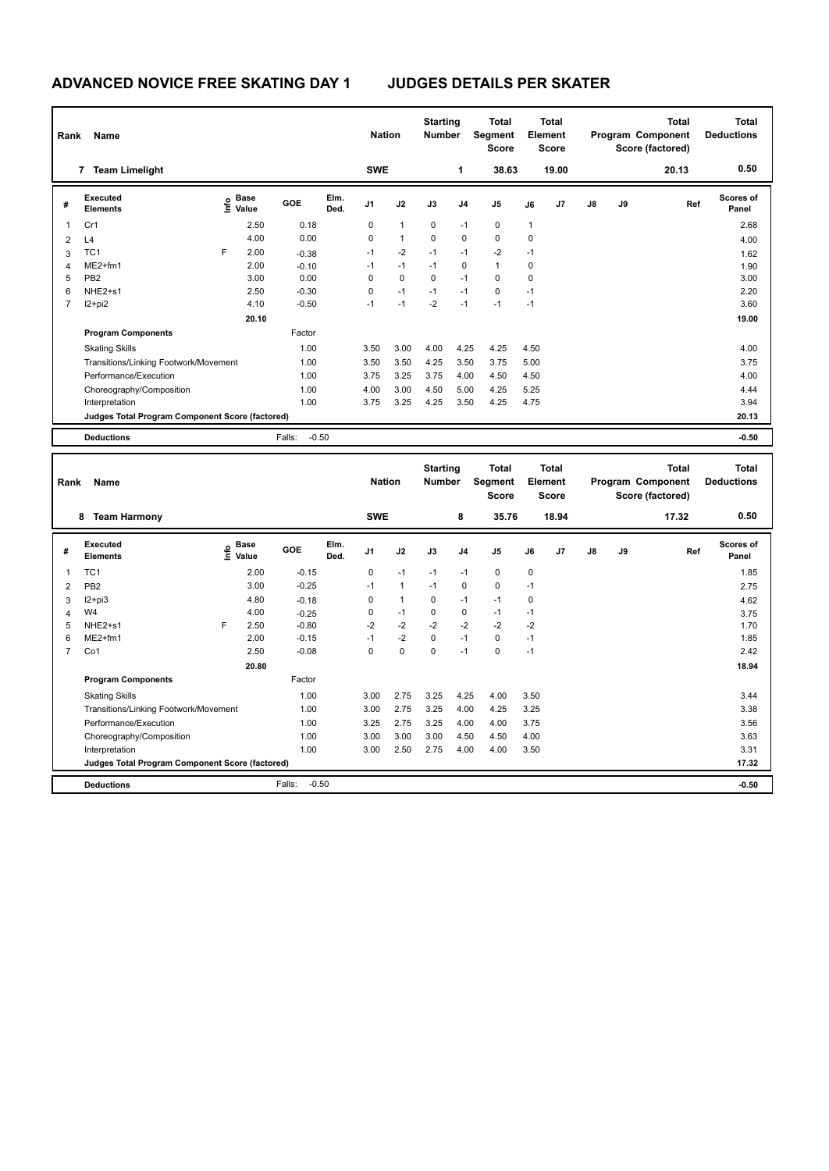| Rank           | Name                                            |      |                      |                   |              | <b>Nation</b>  |                | <b>Starting</b><br><b>Number</b> |                | <b>Total</b><br>Segment<br><b>Score</b> | Element     | <b>Total</b><br><b>Score</b> | <b>Total</b><br>Program Component<br>Score (factored)<br>20.13 |    |     | <b>Total</b><br><b>Deductions</b> |
|----------------|-------------------------------------------------|------|----------------------|-------------------|--------------|----------------|----------------|----------------------------------|----------------|-----------------------------------------|-------------|------------------------------|----------------------------------------------------------------|----|-----|-----------------------------------|
|                | <b>Team Limelight</b><br>$\overline{7}$         |      |                      |                   |              | <b>SWE</b>     |                |                                  | 1              | 38.63                                   |             | 19.00                        |                                                                |    |     | 0.50                              |
| #              | Executed<br><b>Elements</b>                     | lnfo | <b>Base</b><br>Value | GOE               | Elm.<br>Ded. | J <sub>1</sub> | J2             | J3                               | J <sub>4</sub> | J <sub>5</sub>                          | J6          | J7                           | $\mathsf{J}8$                                                  | J9 | Ref | <b>Scores of</b><br>Panel         |
| 1              | Cr1                                             |      | 2.50                 | 0.18              |              | 0              | $\overline{1}$ | 0                                | $-1$           | 0                                       | 1           |                              |                                                                |    |     | 2.68                              |
| $\overline{2}$ | L4                                              |      | 4.00                 | 0.00              |              | 0              | $\overline{1}$ | $\mathbf 0$                      | $\mathbf 0$    | $\mathbf 0$                             | $\mathbf 0$ |                              |                                                                |    |     | 4.00                              |
| 3              | TC <sub>1</sub>                                 | F    | 2.00                 | $-0.38$           |              | $-1$           | $-2$           | $-1$                             | $-1$           | $-2$                                    | $-1$        |                              |                                                                |    |     | 1.62                              |
| $\overline{4}$ | $ME2+fm1$                                       |      | 2.00                 | $-0.10$           |              | -1             | $-1$           | $-1$                             | 0              | $\mathbf{1}$                            | $\mathbf 0$ |                              |                                                                |    |     | 1.90                              |
| 5              | PB <sub>2</sub>                                 |      | 3.00                 | 0.00              |              | 0              | $\mathbf 0$    | $\Omega$                         | $-1$           | $\mathbf 0$                             | $\Omega$    |                              |                                                                |    |     | 3.00                              |
| 6              | NHE2+s1                                         |      | 2.50                 | $-0.30$           |              | 0              | $-1$           | $-1$                             | $-1$           | $\mathbf 0$                             | $-1$        |                              |                                                                |    |     | 2.20                              |
| $\overline{7}$ | $12 + pi2$                                      |      | 4.10                 | $-0.50$           |              | $-1$           | $-1$           | $-2$                             | $-1$           | $-1$                                    | $-1$        |                              |                                                                |    |     | 3.60                              |
|                |                                                 |      | 20.10                |                   |              |                |                |                                  |                |                                         |             |                              |                                                                |    |     | 19.00                             |
|                | <b>Program Components</b>                       |      |                      | Factor            |              |                |                |                                  |                |                                         |             |                              |                                                                |    |     |                                   |
|                | <b>Skating Skills</b>                           |      |                      | 1.00              |              | 3.50           | 3.00           | 4.00                             | 4.25           | 4.25                                    | 4.50        |                              |                                                                |    |     | 4.00                              |
|                | Transitions/Linking Footwork/Movement           |      |                      | 1.00              |              | 3.50           | 3.50           | 4.25                             | 3.50           | 3.75                                    | 5.00        |                              |                                                                |    |     | 3.75                              |
|                | Performance/Execution                           |      |                      | 1.00              |              | 3.75           | 3.25           | 3.75                             | 4.00           | 4.50                                    | 4.50        |                              |                                                                |    |     | 4.00                              |
|                | Choreography/Composition                        |      |                      | 1.00              |              | 4.00           | 3.00           | 4.50                             | 5.00           | 4.25                                    | 5.25        |                              |                                                                |    |     | 4.44                              |
|                | Interpretation                                  |      |                      | 1.00              |              | 3.75           | 3.25           | 4.25                             | 3.50           | 4.25                                    | 4.75        |                              |                                                                |    |     | 3.94                              |
|                | Judges Total Program Component Score (factored) |      |                      |                   |              |                |                |                                  |                |                                         |             |                              |                                                                |    |     | 20.13                             |
|                | <b>Deductions</b>                               |      |                      | $-0.50$<br>Falls: |              |                |                |                                  |                |                                         |             |                              |                                                                |    |     | $-0.50$                           |

| Rank           | Name                                            |      |                      |                   |              | <b>Nation</b>  |              | <b>Starting</b><br><b>Number</b> |                | <b>Total</b><br>Segment<br><b>Score</b> | Element | <b>Total</b><br><b>Score</b> |               |    | <b>Total</b><br>Program Component<br>Score (factored) | Total<br><b>Deductions</b> |
|----------------|-------------------------------------------------|------|----------------------|-------------------|--------------|----------------|--------------|----------------------------------|----------------|-----------------------------------------|---------|------------------------------|---------------|----|-------------------------------------------------------|----------------------------|
|                | 8<br><b>Team Harmony</b>                        |      |                      |                   |              | <b>SWE</b>     |              |                                  | 8              | 35.76                                   |         | 18.94                        |               |    | 17.32                                                 | 0.50                       |
| #              | Executed<br><b>Elements</b>                     | ١ifo | <b>Base</b><br>Value | GOE               | Elm.<br>Ded. | J <sub>1</sub> | J2           | J3                               | J <sub>4</sub> | J <sub>5</sub>                          | J6      | J <sub>7</sub>               | $\mathsf{J}8$ | J9 | Ref                                                   | Scores of<br>Panel         |
| 1              | TC <sub>1</sub>                                 |      | 2.00                 | $-0.15$           |              | 0              | $-1$         | $-1$                             | $-1$           | $\mathbf 0$                             | 0       |                              |               |    |                                                       | 1.85                       |
| 2              | PB <sub>2</sub>                                 |      | 3.00                 | $-0.25$           |              | $-1$           | $\mathbf{1}$ | $-1$                             | $\pmb{0}$      | 0                                       | $-1$    |                              |               |    |                                                       | 2.75                       |
| 3              | $12+pi3$                                        |      | 4.80                 | $-0.18$           |              | $\Omega$       | $\mathbf{1}$ | $\Omega$                         | $-1$           | $-1$                                    | 0       |                              |               |    |                                                       | 4.62                       |
| 4              | W4                                              |      | 4.00                 | $-0.25$           |              | 0              | $-1$         | 0                                | $\pmb{0}$      | $-1$                                    | $-1$    |                              |               |    |                                                       | 3.75                       |
| 5              | NHE <sub>2+s1</sub>                             | F    | 2.50                 | $-0.80$           |              | $-2$           | $-2$         | $-2$                             | $-2$           | $-2$                                    | $-2$    |                              |               |    |                                                       | 1.70                       |
| 6              | ME2+fm1                                         |      | 2.00                 | $-0.15$           |              | $-1$           | $-2$         | $\mathbf 0$                      | $-1$           | 0                                       | $-1$    |                              |               |    |                                                       | 1.85                       |
| $\overline{7}$ | Co1                                             |      | 2.50                 | $-0.08$           |              | $\Omega$       | $\mathbf 0$  | $\mathbf 0$                      | $-1$           | $\mathbf 0$                             | $-1$    |                              |               |    |                                                       | 2.42                       |
|                |                                                 |      | 20.80                |                   |              |                |              |                                  |                |                                         |         |                              |               |    |                                                       | 18.94                      |
|                | <b>Program Components</b>                       |      |                      | Factor            |              |                |              |                                  |                |                                         |         |                              |               |    |                                                       |                            |
|                | <b>Skating Skills</b>                           |      |                      | 1.00              |              | 3.00           | 2.75         | 3.25                             | 4.25           | 4.00                                    | 3.50    |                              |               |    |                                                       | 3.44                       |
|                | Transitions/Linking Footwork/Movement           |      |                      | 1.00              |              | 3.00           | 2.75         | 3.25                             | 4.00           | 4.25                                    | 3.25    |                              |               |    |                                                       | 3.38                       |
|                | Performance/Execution                           |      |                      | 1.00              |              | 3.25           | 2.75         | 3.25                             | 4.00           | 4.00                                    | 3.75    |                              |               |    |                                                       | 3.56                       |
|                | Choreography/Composition                        |      |                      | 1.00              |              | 3.00           | 3.00         | 3.00                             | 4.50           | 4.50                                    | 4.00    |                              |               |    |                                                       | 3.63                       |
|                | Interpretation                                  |      |                      | 1.00              |              | 3.00           | 2.50         | 2.75                             | 4.00           | 4.00                                    | 3.50    |                              |               |    |                                                       | 3.31                       |
|                | Judges Total Program Component Score (factored) |      |                      |                   |              |                |              |                                  |                |                                         |         |                              |               |    |                                                       | 17.32                      |
|                | <b>Deductions</b>                               |      |                      | Falls:<br>$-0.50$ |              |                |              |                                  |                |                                         |         |                              |               |    |                                                       | $-0.50$                    |